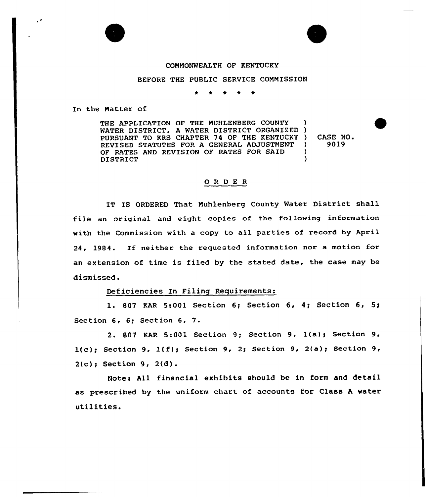

BEFORE THE PUBLIC SERVICE COMMISSION

\* 0 <sup>+</sup> \* \*

In the Natter of

THE APPLICATION OF THE MUHLENBERG COUNTY WATER DISTRICT, A WATER DISTRICT ORGANIZED) PURSUANT TO KRS CHAPTER 74 OF THE KENTUCKY ) REVISED STATUTES FOR A GENERAL ADJUSTMENT OF RATES AND REVISION OF RATES FOR SAID DISTRICT ) ) )

) CASE NO.<br>
1 9019 } 9019

## ORDER

IT IS ORDERED That Nuhlenberg County Water District shall file an original and eight copies of the following information with the Commission with a copy to all parties of record by April 24, 1984. If neither the requested information nor <sup>a</sup> motion for an extension of time is filed by the stated date, the case may be dismissed.

## Deficiencies In Filing Requirements:

1. S07 KAR 5:001 Section 6g Section 6, 4i Section 6, 5g Section 6, 6; Section 6, 7.

2. 807 KAR 5:001 Section 9; Section 9, 1(a}~ Section 9,  $l(c)$ ; Section 9,  $l(f)$ ; Section 9, 2; Section 9, 2(a); Section 9, 2(c); Section 9, 2(d).

Notes All financial exhibits should be in form and detail as prescribed by the uniform chart of accounts for Class <sup>A</sup> water utilities.